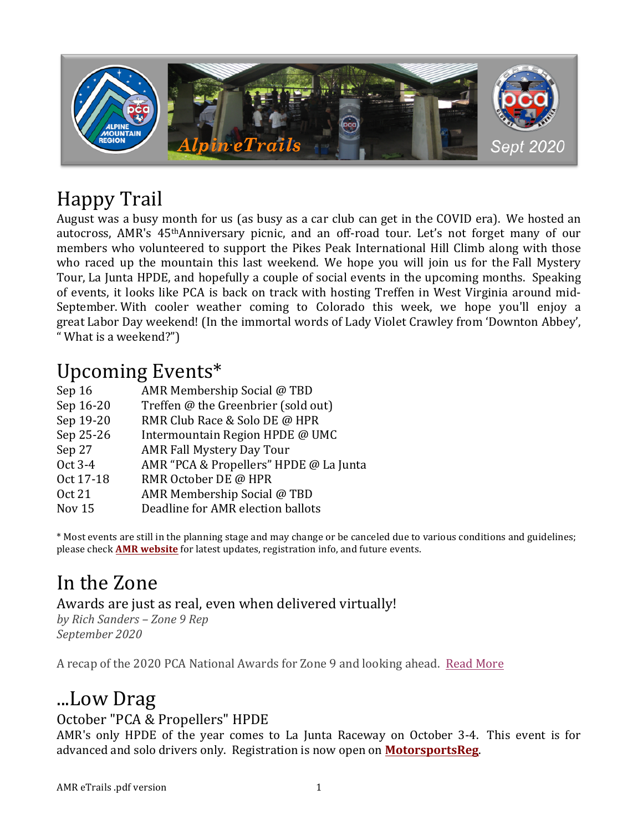

# Happy Trail

August was a busy month for us (as busy as a car club can get in the COVID era). We hosted an autocross, AMR's 45<sup>th</sup>Anniversary picnic, and an off-road tour. Let's not forget many of our members who volunteered to support the Pikes Peak International Hill Climb along with those who raced up the mountain this last weekend. We hope you will join us for the Fall Mystery Tour, La Junta HPDE, and hopefully a couple of social events in the upcoming months. Speaking of events, it looks like PCA is back on track with hosting Treffen in West Virginia around mid-September. With cooler weather coming to Colorado this week, we hope you'll enjoy a great Labor Day weekend! (In the immortal words of Lady Violet Crawley from 'Downton Abbey', " What is a weekend?")

## Upcoming Events\*

| AMR Membership Social @ TBD            |
|----------------------------------------|
| Treffen @ the Greenbrier (sold out)    |
| RMR Club Race & Solo DE @ HPR          |
| Intermountain Region HPDE @ UMC        |
| <b>AMR Fall Mystery Day Tour</b>       |
| AMR "PCA & Propellers" HPDE @ La Junta |
| RMR October DE @ HPR                   |
| AMR Membership Social @ TBD            |
| Deadline for AMR election ballots      |
|                                        |

\* Most events are still in the planning stage and may change or be canceled due to various conditions and guidelines; please check **AMR** website for latest updates, registration info, and future events.

# In the Zone

### Awards are just as real, even when delivered virtually!

*by Rich Sanders – Zone 9 Rep September 2020*

A recap of the 2020 PCA National Awards for Zone 9 and looking ahead. Read More

## ...Low Drag

## October "PCA & Propellers" HPDE

AMR's only HPDE of the year comes to La Junta Raceway on October 3-4. This event is for advanced and solo drivers only. Registration is now open on **MotorsportsReg**.